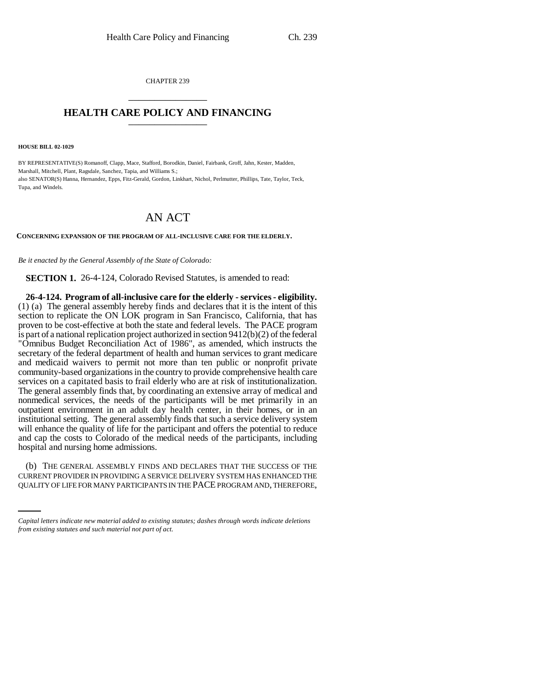CHAPTER 239 \_\_\_\_\_\_\_\_\_\_\_\_\_\_\_

## **HEALTH CARE POLICY AND FINANCING** \_\_\_\_\_\_\_\_\_\_\_\_\_\_\_

**HOUSE BILL 02-1029**

BY REPRESENTATIVE(S) Romanoff, Clapp, Mace, Stafford, Borodkin, Daniel, Fairbank, Groff, Jahn, Kester, Madden, Marshall, Mitchell, Plant, Ragsdale, Sanchez, Tapia, and Williams S.; also SENATOR(S) Hanna, Hernandez, Epps, Fitz-Gerald, Gordon, Linkhart, Nichol, Perlmutter, Phillips, Tate, Taylor, Teck, Tupa, and Windels.

## AN ACT

**CONCERNING EXPANSION OF THE PROGRAM OF ALL-INCLUSIVE CARE FOR THE ELDERLY.**

*Be it enacted by the General Assembly of the State of Colorado:*

**SECTION 1.** 26-4-124, Colorado Revised Statutes, is amended to read:

**26-4-124. Program of all-inclusive care for the elderly - services - eligibility.** (1) (a) The general assembly hereby finds and declares that it is the intent of this section to replicate the ON LOK program in San Francisco, California, that has proven to be cost-effective at both the state and federal levels. The PACE program is part of a national replication project authorized in section 9412(b)(2) of the federal "Omnibus Budget Reconciliation Act of 1986", as amended, which instructs the secretary of the federal department of health and human services to grant medicare and medicaid waivers to permit not more than ten public or nonprofit private community-based organizations in the country to provide comprehensive health care services on a capitated basis to frail elderly who are at risk of institutionalization. The general assembly finds that, by coordinating an extensive array of medical and nonmedical services, the needs of the participants will be met primarily in an outpatient environment in an adult day health center, in their homes, or in an institutional setting. The general assembly finds that such a service delivery system will enhance the quality of life for the participant and offers the potential to reduce and cap the costs to Colorado of the medical needs of the participants, including hospital and nursing home admissions.

(b) THE GENERAL ASSEMBLY FINDS AND DECLARES THAT THE SUCCESS OF THE CURRENT PROVIDER IN PROVIDING A SERVICE DELIVERY SYSTEM HAS ENHANCED THE QUALITY OF LIFE FOR MANY PARTICIPANTS IN THE PACE PROGRAM AND, THEREFORE,

*Capital letters indicate new material added to existing statutes; dashes through words indicate deletions from existing statutes and such material not part of act.*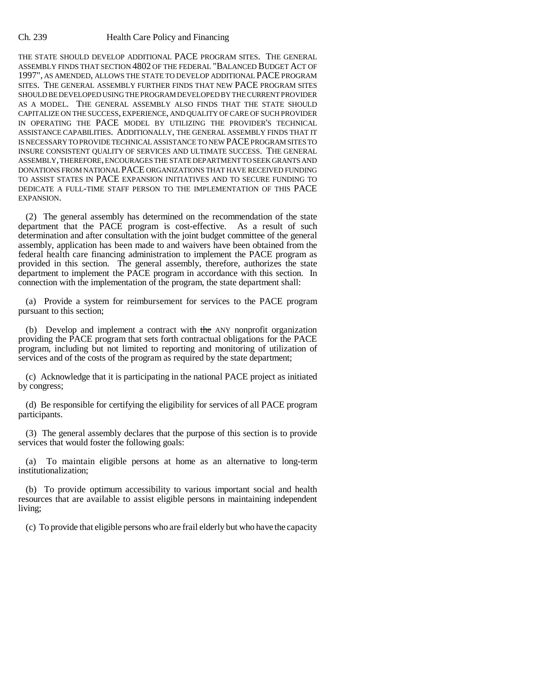## Ch. 239 Health Care Policy and Financing

THE STATE SHOULD DEVELOP ADDITIONAL PACE PROGRAM SITES. THE GENERAL ASSEMBLY FINDS THAT SECTION 4802 OF THE FEDERAL "BALANCED BUDGET ACT OF 1997", AS AMENDED, ALLOWS THE STATE TO DEVELOP ADDITIONAL PACE PROGRAM SITES. THE GENERAL ASSEMBLY FURTHER FINDS THAT NEW PACE PROGRAM SITES SHOULD BE DEVELOPED USING THE PROGRAM DEVELOPED BY THE CURRENT PROVIDER AS A MODEL. THE GENERAL ASSEMBLY ALSO FINDS THAT THE STATE SHOULD CAPITALIZE ON THE SUCCESS, EXPERIENCE, AND QUALITY OF CARE OF SUCH PROVIDER IN OPERATING THE PACE MODEL BY UTILIZING THE PROVIDER'S TECHNICAL ASSISTANCE CAPABILITIES. ADDITIONALLY, THE GENERAL ASSEMBLY FINDS THAT IT IS NECESSARY TO PROVIDE TECHNICAL ASSISTANCE TO NEW PACE PROGRAM SITES TO INSURE CONSISTENT QUALITY OF SERVICES AND ULTIMATE SUCCESS. THE GENERAL ASSEMBLY, THEREFORE, ENCOURAGES THE STATE DEPARTMENT TO SEEK GRANTS AND DONATIONS FROM NATIONAL PACE ORGANIZATIONS THAT HAVE RECEIVED FUNDING TO ASSIST STATES IN PACE EXPANSION INITIATIVES AND TO SECURE FUNDING TO DEDICATE A FULL-TIME STAFF PERSON TO THE IMPLEMENTATION OF THIS PACE EXPANSION.

(2) The general assembly has determined on the recommendation of the state department that the PACE program is cost-effective. As a result of such determination and after consultation with the joint budget committee of the general assembly, application has been made to and waivers have been obtained from the federal health care financing administration to implement the PACE program as provided in this section. The general assembly, therefore, authorizes the state department to implement the PACE program in accordance with this section. In connection with the implementation of the program, the state department shall:

(a) Provide a system for reimbursement for services to the PACE program pursuant to this section;

(b) Develop and implement a contract with the ANY nonprofit organization providing the PACE program that sets forth contractual obligations for the PACE program, including but not limited to reporting and monitoring of utilization of services and of the costs of the program as required by the state department;

(c) Acknowledge that it is participating in the national PACE project as initiated by congress;

(d) Be responsible for certifying the eligibility for services of all PACE program participants.

(3) The general assembly declares that the purpose of this section is to provide services that would foster the following goals:

(a) To maintain eligible persons at home as an alternative to long-term institutionalization;

(b) To provide optimum accessibility to various important social and health resources that are available to assist eligible persons in maintaining independent living;

(c) To provide that eligible persons who are frail elderly but who have the capacity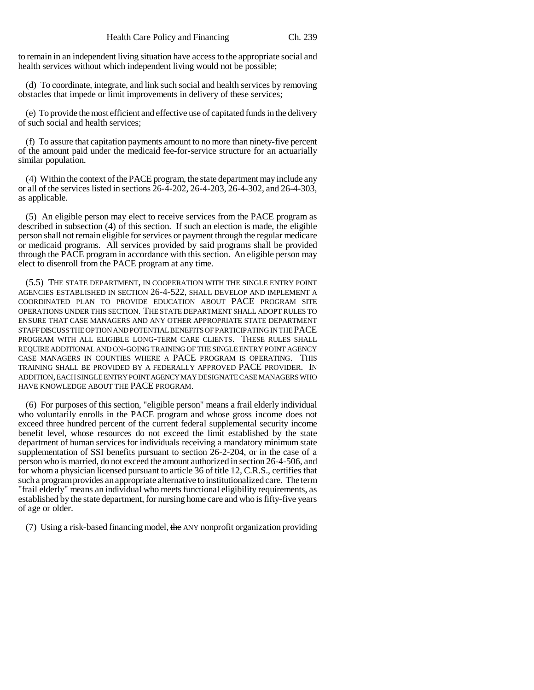to remain in an independent living situation have access to the appropriate social and health services without which independent living would not be possible;

(d) To coordinate, integrate, and link such social and health services by removing obstacles that impede or limit improvements in delivery of these services;

(e) To provide the most efficient and effective use of capitated funds in the delivery of such social and health services;

(f) To assure that capitation payments amount to no more than ninety-five percent of the amount paid under the medicaid fee-for-service structure for an actuarially similar population.

(4) Within the context of the PACE program, the state department may include any or all of the services listed in sections 26-4-202, 26-4-203, 26-4-302, and 26-4-303, as applicable.

(5) An eligible person may elect to receive services from the PACE program as described in subsection (4) of this section. If such an election is made, the eligible person shall not remain eligible for services or payment through the regular medicare or medicaid programs. All services provided by said programs shall be provided through the PACE program in accordance with this section. An eligible person may elect to disenroll from the PACE program at any time.

(5.5) THE STATE DEPARTMENT, IN COOPERATION WITH THE SINGLE ENTRY POINT AGENCIES ESTABLISHED IN SECTION 26-4-522, SHALL DEVELOP AND IMPLEMENT A COORDINATED PLAN TO PROVIDE EDUCATION ABOUT PACE PROGRAM SITE OPERATIONS UNDER THIS SECTION. THE STATE DEPARTMENT SHALL ADOPT RULES TO ENSURE THAT CASE MANAGERS AND ANY OTHER APPROPRIATE STATE DEPARTMENT STAFF DISCUSS THE OPTION AND POTENTIAL BENEFITS OF PARTICIPATING IN THE PACE PROGRAM WITH ALL ELIGIBLE LONG-TERM CARE CLIENTS. THESE RULES SHALL REQUIRE ADDITIONAL AND ON-GOING TRAINING OF THE SINGLE ENTRY POINT AGENCY CASE MANAGERS IN COUNTIES WHERE A PACE PROGRAM IS OPERATING. THIS TRAINING SHALL BE PROVIDED BY A FEDERALLY APPROVED PACE PROVIDER. IN ADDITION, EACH SINGLE ENTRY POINT AGENCY MAY DESIGNATE CASE MANAGERS WHO HAVE KNOWLEDGE ABOUT THE PACE PROGRAM.

(6) For purposes of this section, "eligible person" means a frail elderly individual who voluntarily enrolls in the PACE program and whose gross income does not exceed three hundred percent of the current federal supplemental security income benefit level, whose resources do not exceed the limit established by the state department of human services for individuals receiving a mandatory minimum state supplementation of SSI benefits pursuant to section 26-2-204, or in the case of a person who is married, do not exceed the amount authorized in section 26-4-506, and for whom a physician licensed pursuant to article 36 of title 12, C.R.S., certifies that such a program provides an appropriate alternative to institutionalized care. The term "frail elderly" means an individual who meets functional eligibility requirements, as established by the state department, for nursing home care and who is fifty-five years of age or older.

(7) Using a risk-based financing model, the ANY nonprofit organization providing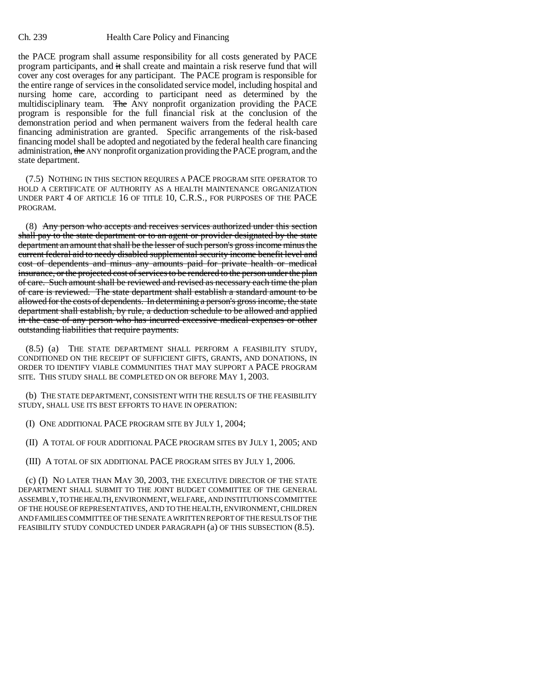the PACE program shall assume responsibility for all costs generated by PACE program participants, and it shall create and maintain a risk reserve fund that will cover any cost overages for any participant. The PACE program is responsible for the entire range of services in the consolidated service model, including hospital and nursing home care, according to participant need as determined by the multidisciplinary team. The ANY nonprofit organization providing the PACE program is responsible for the full financial risk at the conclusion of the demonstration period and when permanent waivers from the federal health care financing administration are granted. Specific arrangements of the risk-based financing model shall be adopted and negotiated by the federal health care financing administration, the ANY nonprofit organization providing the PACE program, and the state department.

(7.5) NOTHING IN THIS SECTION REQUIRES A PACE PROGRAM SITE OPERATOR TO HOLD A CERTIFICATE OF AUTHORITY AS A HEALTH MAINTENANCE ORGANIZATION UNDER PART 4 OF ARTICLE 16 OF TITLE 10, C.R.S., FOR PURPOSES OF THE PACE PROGRAM.

(8) Any person who accepts and receives services authorized under this section shall pay to the state department or to an agent or provider designated by the state department an amount that shall be the lesser of such person's gross income minus the current federal aid to needy disabled supplemental security income benefit level and cost of dependents and minus any amounts paid for private health or medical insurance, or the projected cost of services to be rendered to the person under the plan of care. Such amount shall be reviewed and revised as necessary each time the plan of care is reviewed. The state department shall establish a standard amount to be allowed for the costs of dependents. In determining a person's gross income, the state department shall establish, by rule, a deduction schedule to be allowed and applied in the case of any person who has incurred excessive medical expenses or other outstanding liabilities that require payments.

(8.5) (a) THE STATE DEPARTMENT SHALL PERFORM A FEASIBILITY STUDY, CONDITIONED ON THE RECEIPT OF SUFFICIENT GIFTS, GRANTS, AND DONATIONS, IN ORDER TO IDENTIFY VIABLE COMMUNITIES THAT MAY SUPPORT A PACE PROGRAM SITE. THIS STUDY SHALL BE COMPLETED ON OR BEFORE MAY 1, 2003.

(b) THE STATE DEPARTMENT, CONSISTENT WITH THE RESULTS OF THE FEASIBILITY STUDY, SHALL USE ITS BEST EFFORTS TO HAVE IN OPERATION:

(I) ONE ADDITIONAL PACE PROGRAM SITE BY JULY 1, 2004;

(II) A TOTAL OF FOUR ADDITIONAL PACE PROGRAM SITES BY JULY 1, 2005; AND

(III) A TOTAL OF SIX ADDITIONAL PACE PROGRAM SITES BY JULY 1, 2006.

(c) (I) NO LATER THAN MAY 30, 2003, THE EXECUTIVE DIRECTOR OF THE STATE DEPARTMENT SHALL SUBMIT TO THE JOINT BUDGET COMMITTEE OF THE GENERAL ASSEMBLY, TO THE HEALTH, ENVIRONMENT, WELFARE, AND INSTITUTIONS COMMITTEE OF THE HOUSE OF REPRESENTATIVES, AND TO THE HEALTH, ENVIRONMENT, CHILDREN AND FAMILIES COMMITTEE OF THE SENATE A WRITTEN REPORT OF THE RESULTS OF THE FEASIBILITY STUDY CONDUCTED UNDER PARAGRAPH (a) OF THIS SUBSECTION (8.5).